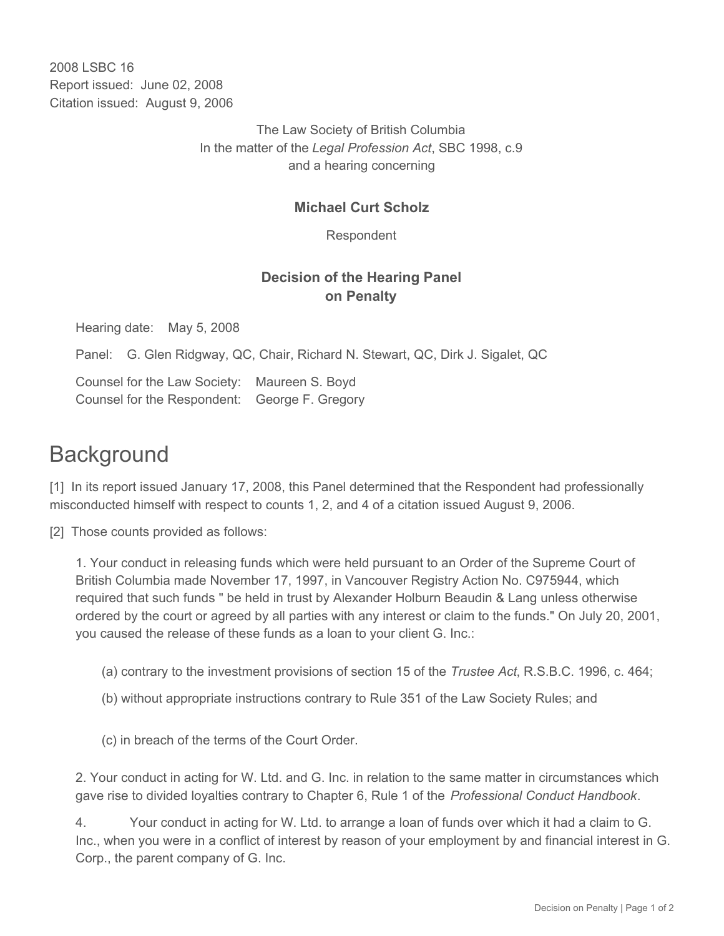2008 LSBC 16 Report issued: June 02, 2008 Citation issued: August 9, 2006

> The Law Society of British Columbia In the matter of the *Legal Profession Act*, SBC 1998, c.9 and a hearing concerning

## **Michael Curt Scholz**

Respondent

## **Decision of the Hearing Panel on Penalty**

Hearing date: May 5, 2008

Panel: G. Glen Ridgway, QC, Chair, Richard N. Stewart, QC, Dirk J. Sigalet, QC

Counsel for the Law Society: Maureen S. Boyd Counsel for the Respondent: George F. Gregory

## **Background**

[1] In its report issued January 17, 2008, this Panel determined that the Respondent had professionally misconducted himself with respect to counts 1, 2, and 4 of a citation issued August 9, 2006.

[2] Those counts provided as follows:

1. Your conduct in releasing funds which were held pursuant to an Order of the Supreme Court of British Columbia made November 17, 1997, in Vancouver Registry Action No. C975944, which required that such funds " be held in trust by Alexander Holburn Beaudin & Lang unless otherwise ordered by the court or agreed by all parties with any interest or claim to the funds." On July 20, 2001, you caused the release of these funds as a loan to your client G. Inc.:

- (a) contrary to the investment provisions of section 15 of the *Trustee Act*, R.S.B.C. 1996, c. 464;
- (b) without appropriate instructions contrary to Rule 351 of the Law Society Rules; and

(c) in breach of the terms of the Court Order.

2. Your conduct in acting for W. Ltd. and G. Inc. in relation to the same matter in circumstances which gave rise to divided loyalties contrary to Chapter 6, Rule 1 of the *Professional Conduct Handbook*.

4. Your conduct in acting for W. Ltd. to arrange a loan of funds over which it had a claim to G. Inc., when you were in a conflict of interest by reason of your employment by and financial interest in G. Corp., the parent company of G. Inc.